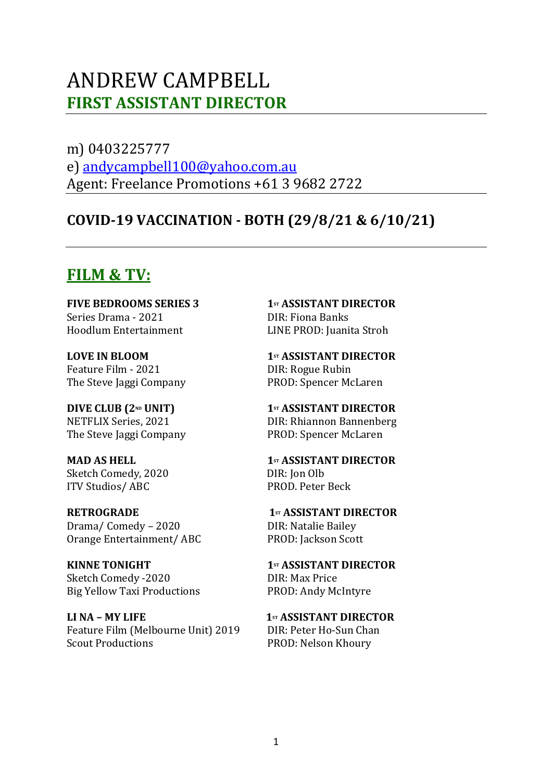# ANDREW CAMPBELL **FIRST ASSISTANT DIRECTOR**

m) 0403225777 e) andycampbell100@yahoo.com.au Agent: Freelance Promotions +61 3 9682 2722

### **COVID-19 VACCINATION - BOTH (29/8/21 & 6/10/21)**

### **FILM & TV:**

**FIVE BEDROOMS SERIES 3 1st ASSISTANT DIRECTOR** Series Drama - 2021 **DIR:** Fiona Banks Hoodlum Entertainment LINE PROD: Juanita Stroh

Feature Film - 2021 DIR: Rogue Rubin

The Steve Jaggi Company PROD: Spencer McLaren

Sketch Comedy, 2020 DIR: Ion Olb ITV Studios/ ABC PROD. Peter Beck

**RETROGRADE 1**st **ASSISTANT DIRECTOR** Drama/ Comedy – 2020 DIR: Natalie Bailey Orange Entertainment/ ABC PROD: Jackson Scott

**KINNE TONIGHT 1st ASSISTANT DIRECTOR** Sketch Comedy -2020 DIR: Max Price Big Yellow Taxi Productions PROD: Andy McIntyre

LI NA – MY LIFE **1st** ASSISTANT DIRECTOR Feature Film (Melbourne Unit) 2019 DIR: Peter Ho-Sun Chan Scout Productions **PROD:** Nelson Khoury

**LOVE IN BLOOM 1st ASSISTANT DIRECTOR** The Steve Jaggi Company PROD: Spencer McLaren

**DIVE CLUB (2<sup>ND</sup> UNIT) 1**st</sup> **ASSISTANT DIRECTOR** NETFLIX Series, 2021 **DIR: Rhiannon Bannenberg** 

**MAD AS HELL 1st ASSISTANT DIRECTOR**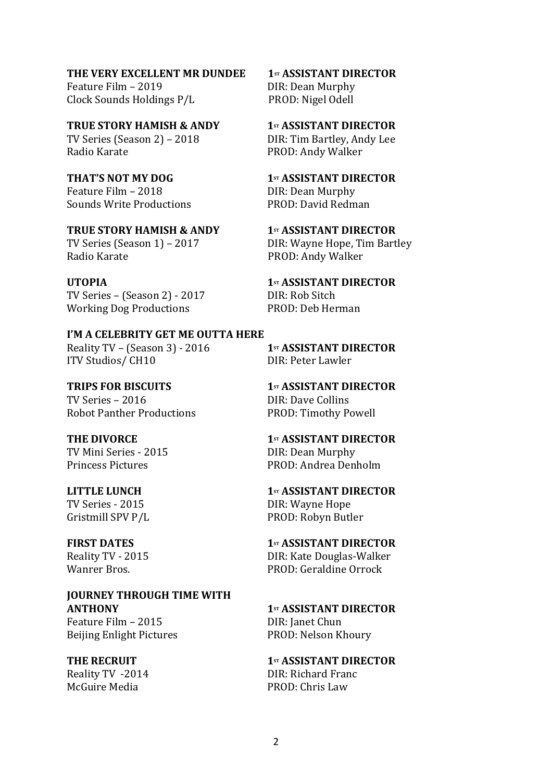**THE VERY EXCELLENT MR DUNDEE** 1st ASSISTANT DIRECTOR

Feature Film – 2019 **DIR:** Dean Murphy Clock Sounds Holdings  $P/L$  PROD: Nigel Odell

**TRUE STORY HAMISH & ANDY 1st ASSISTANT DIRECTOR** TV Series (Season 2) – 2018 DIR: Tim Bartley, Andy Lee Radio Karate **PROD:** Andy Walker

**THAT'S NOT MY DOG 1st 1st ASSISTANT DIRECTOR** Feature Film – 2018 **DIR:** Dean Murphy Sounds Write Productions **PROD:** David Redman

**TRUE STORY HAMISH & ANDY 1st ASSISTANT DIRECTOR** TV Series (Season 1) – 2017 DIR: Wayne Hope, Tim Bartley Radio Karate **Bradio** Karate **Radio Karate Radio Karate RADIO:** Andy Walker

**UTOPIA 1st ASSISTANT DIRECTOR** TV Series – (Season 2) - 2017 DIR: Rob Sitch Working Dog Productions PROD: Deb Herman

**I'M A CELEBRITY GET ME OUTTA HERE** Reality TV – (Season 3) - 2016 **1**sr **ASSISTANT DIRECTOR** ITV Studios/ CH10 DIR: Peter Lawler

**TRIPS FOR BISCUITS 1st ASSISTANT DIRECTOR** TV Series – 2016 **DIR:** Dave Collins Robot Panther Productions PROD: Timothy Powell

TV Mini Series - 2015 **DIR: Dean Murphy** 

**JOURNEY THROUGH TIME WITH ANTHONY 1st ASSISTANT DIRECTOR** Feature Film – 2015 DIR: Ianet Chun

Beijing Enlight Pictures PROD: Nelson Khoury

**THE DIVORCE 1st 1st ASSISTANT DIRECTOR** Princess Pictures **PROD:** Andrea Denholm

**LITTLE LUNCH 1st ASSISTANT DIRECTOR** TV Series - 2015 **DIR:** Wayne Hope Gristmill SPV P/L PROD: Robyn Butler

**FIRST DATES 1st ASSISTANT DIRECTOR** Reality TV - 2015 **DIR:** Kate Douglas-Walker Wanrer Bros. The Community of the PROD: Geraldine Orrock

**THE RECRUIT 1st ASSISTANT DIRECTOR** Reality TV -2014 DIR: Richard Franc McGuire Media PROD: Chris Law